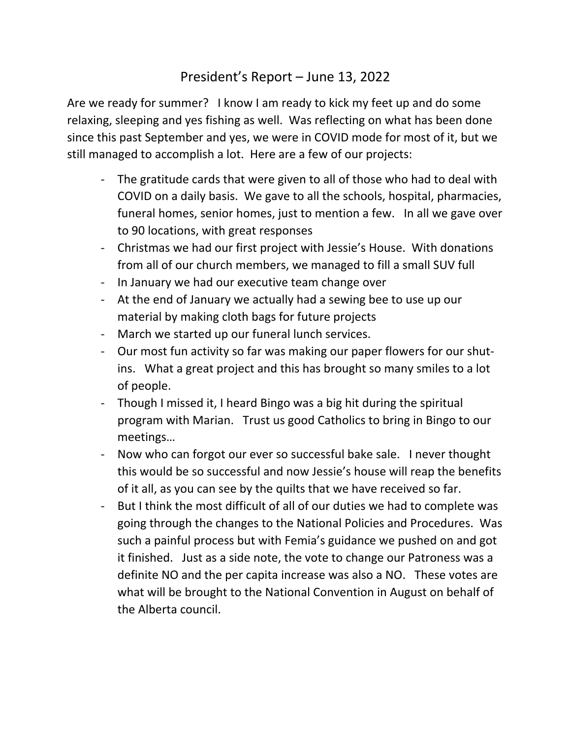## President's Report – June 13, 2022

Are we ready for summer? I know I am ready to kick my feet up and do some relaxing, sleeping and yes fishing as well. Was reflecting on what has been done since this past September and yes, we were in COVID mode for most of it, but we still managed to accomplish a lot. Here are a few of our projects:

- The gratitude cards that were given to all of those who had to deal with COVID on a daily basis. We gave to all the schools, hospital, pharmacies, funeral homes, senior homes, just to mention a few. In all we gave over to 90 locations, with great responses
- Christmas we had our first project with Jessie's House. With donations from all of our church members, we managed to fill a small SUV full
- In January we had our executive team change over
- At the end of January we actually had a sewing bee to use up our material by making cloth bags for future projects
- March we started up our funeral lunch services.
- Our most fun activity so far was making our paper flowers for our shutins. What a great project and this has brought so many smiles to a lot of people.
- Though I missed it, I heard Bingo was a big hit during the spiritual program with Marian. Trust us good Catholics to bring in Bingo to our meetings…
- Now who can forgot our ever so successful bake sale. I never thought this would be so successful and now Jessie's house will reap the benefits of it all, as you can see by the quilts that we have received so far.
- But I think the most difficult of all of our duties we had to complete was going through the changes to the National Policies and Procedures. Was such a painful process but with Femia's guidance we pushed on and got it finished. Just as a side note, the vote to change our Patroness was a definite NO and the per capita increase was also a NO. These votes are what will be brought to the National Convention in August on behalf of the Alberta council.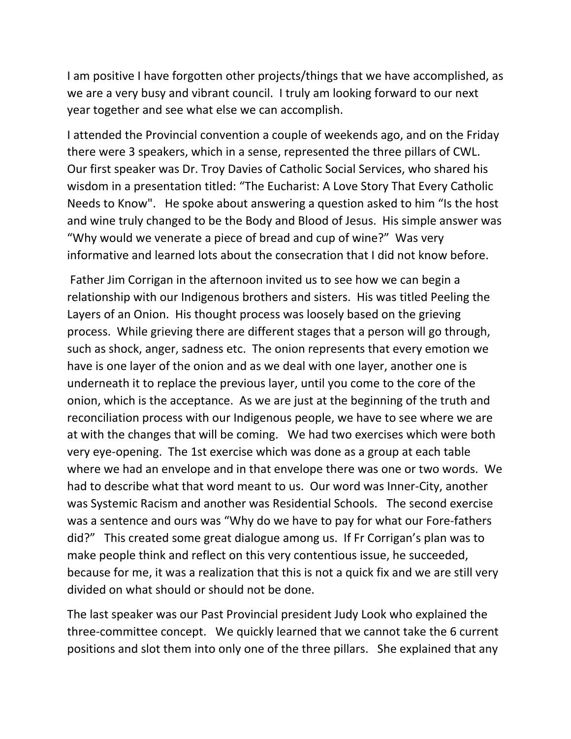I am positive I have forgotten other projects/things that we have accomplished, as we are a very busy and vibrant council. I truly am looking forward to our next year together and see what else we can accomplish.

I attended the Provincial convention a couple of weekends ago, and on the Friday there were 3 speakers, which in a sense, represented the three pillars of CWL. Our first speaker was Dr. Troy Davies of Catholic Social Services, who shared his wisdom in a presentation titled: "The Eucharist: A Love Story That Every Catholic Needs to Know". He spoke about answering a question asked to him "Is the host and wine truly changed to be the Body and Blood of Jesus. His simple answer was "Why would we venerate a piece of bread and cup of wine?" Was very informative and learned lots about the consecration that I did not know before.

 Father Jim Corrigan in the afternoon invited us to see how we can begin a relationship with our Indigenous brothers and sisters. His was titled Peeling the Layers of an Onion. His thought process was loosely based on the grieving process. While grieving there are different stages that a person will go through, such as shock, anger, sadness etc. The onion represents that every emotion we have is one layer of the onion and as we deal with one layer, another one is underneath it to replace the previous layer, until you come to the core of the onion, which is the acceptance. As we are just at the beginning of the truth and reconciliation process with our Indigenous people, we have to see where we are at with the changes that will be coming. We had two exercises which were both very eye-opening. The 1st exercise which was done as a group at each table where we had an envelope and in that envelope there was one or two words. We had to describe what that word meant to us. Our word was Inner-City, another was Systemic Racism and another was Residential Schools. The second exercise was a sentence and ours was "Why do we have to pay for what our Fore-fathers did?" This created some great dialogue among us. If Fr Corrigan's plan was to make people think and reflect on this very contentious issue, he succeeded, because for me, it was a realization that this is not a quick fix and we are still very divided on what should or should not be done.

The last speaker was our Past Provincial president Judy Look who explained the three-committee concept. We quickly learned that we cannot take the 6 current positions and slot them into only one of the three pillars. She explained that any